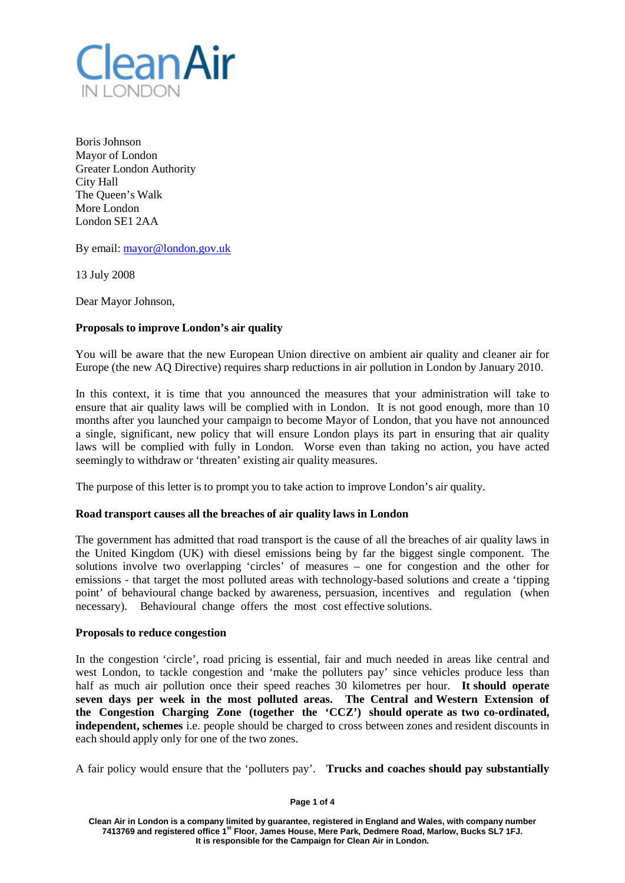

Boris Johnson Mayor of London Greater London Authority City Hall The Queen's Walk More London London SE1 2AA

By email: [mayor@london.gov.uk](mailto:mayor@london.gov.uk)

13 July 2008

Dear Mayor Johnson,

# **Proposals to improve London's air quality**

You will be aware that the new European Union directive on ambient air quality and cleaner air for Europe (the new AQ Directive) requires sharp reductions in air pollution in London by January 2010.

In this context, it is time that you announced the measures that your administration will take to ensure that air quality laws will be complied with in London. It is not good enough, more than 10 months after you launched your campaign to become Mayor of London, that you have not announced a single, significant, new policy that will ensure London plays its part in ensuring that air quality laws will be complied with fully in London. Worse even than taking no action, you have acted seemingly to withdraw or 'threaten' existing air quality measures.

The purpose of this letter is to prompt you to take action to improve London's air quality.

# **Road transport causes all the breaches of air quality laws in London**

The government has admitted that road transport is the cause of all the breaches of air quality laws in the United Kingdom (UK) with diesel emissions being by far the biggest single component. The solutions involve two overlapping 'circles' of measures – one for congestion and the other for emissions - that target the most polluted areas with technology-based solutions and create a 'tipping point' of behavioural change backed by awareness, persuasion, incentives and regulation (when necessary). Behavioural change offers the most cost effective solutions.

### **Proposals to reduce congestion**

In the congestion 'circle', road pricing is essential, fair and much needed in areas like central and west London, to tackle congestion and 'make the polluters pay' since vehicles produce less than half as much air pollution once their speed reaches 30 kilometres per hour. **It should operate seven days per week in the most polluted areas. The Central and Western Extension of the Congestion Charging Zone (together the 'CCZ') should operate as two co-ordinated, independent, schemes** i.e. people should be charged to cross between zones and resident discounts in each should apply only for one of the two zones.

A fair policy would ensure that the 'polluters pay'. **Trucks and coaches should pay substantially**

### **Page 1 of 4**

**Clean Air in London is a company limited by guarantee, registered in England and Wales, with company number 7413769 and registered office 1st Floor, James House, Mere Park, Dedmere Road, Marlow, Bucks SL7 1FJ. It is responsible for the Campaign for Clean Air in London.**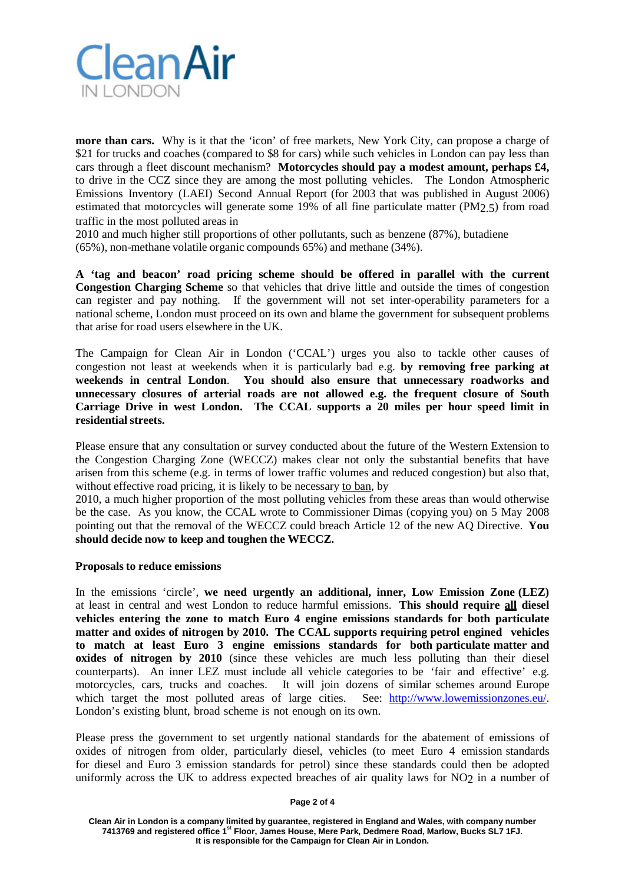

**more than cars.** Why is it that the 'icon' of free markets, New York City, can propose a charge of \$21 for trucks and coaches (compared to \$8 for cars) while such vehicles in London can pay less than cars through a fleet discount mechanism? **Motorcycles should pay a modest amount, perhaps £4,** to drive in the CCZ since they are among the most polluting vehicles. The London Atmospheric Emissions Inventory (LAEI) Second Annual Report (for 2003 that was published in August 2006) estimated that motorcycles will generate some 19% of all fine particulate matter (PM2.5) from road traffic in the most polluted areas in

2010 and much higher still proportions of other pollutants, such as benzene (87%), butadiene (65%), non-methane volatile organic compounds 65%) and methane (34%).

**A 'tag and beacon' road pricing scheme should be offered in parallel with the current Congestion Charging Scheme** so that vehicles that drive little and outside the times of congestion can register and pay nothing. If the government will not set inter-operability parameters for a national scheme, London must proceed on its own and blame the government for subsequent problems that arise for road users elsewhere in the UK.

The Campaign for Clean Air in London ('CCAL') urges you also to tackle other causes of congestion not least at weekends when it is particularly bad e.g. **by removing free parking at weekends in central London**. **You should also ensure that unnecessary roadworks and unnecessary closures of arterial roads are not allowed e.g. the frequent closure of South Carriage Drive in west London. The CCAL supports a 20 miles per hour speed limit in residential streets.**

Please ensure that any consultation or survey conducted about the future of the Western Extension to the Congestion Charging Zone (WECCZ) makes clear not only the substantial benefits that have arisen from this scheme (e.g. in terms of lower traffic volumes and reduced congestion) but also that, without effective road pricing, it is likely to be necessary to ban, by

2010, a much higher proportion of the most polluting vehicles from these areas than would otherwise be the case. As you know, the CCAL wrote to Commissioner Dimas (copying you) on 5 May 2008 pointing out that the removal of the WECCZ could breach Article 12 of the new AQ Directive. **You should decide now to keep and toughen the WECCZ.**

### **Proposals to reduce emissions**

In the emissions 'circle', **we need urgently an additional, inner, Low Emission Zone (LEZ)** at least in central and west London to reduce harmful emissions. **This should require all diesel vehicles entering the zone to match Euro 4 engine emissions standards for both particulate matter and oxides of nitrogen by 2010. The CCAL supports requiring petrol engined vehicles to match at least Euro 3 engine emissions standards for both particulate matter and oxides of nitrogen by 2010** (since these vehicles are much less polluting than their diesel counterparts). An inner LEZ must include all vehicle categories to be 'fair and effective' e.g. motorcycles, cars, trucks and coaches. It will join dozens of similar schemes around Europe which target the most polluted areas of large cities. See: [http://www.lowemissionzones.eu/.](http://www.lowemissionzones.eu/) London's existing blunt, broad scheme is not enough on its own.

Please press the government to set urgently national standards for the abatement of emissions of oxides of nitrogen from older, particularly diesel, vehicles (to meet Euro 4 emission standards for diesel and Euro 3 emission standards for petrol) since these standards could then be adopted uniformly across the UK to address expected breaches of air quality laws for NO2 in a number of

### **Page 2 of 4**

**Clean Air in London is a company limited by guarantee, registered in England and Wales, with company number 7413769 and registered office 1st Floor, James House, Mere Park, Dedmere Road, Marlow, Bucks SL7 1FJ. It is responsible for the Campaign for Clean Air in London.**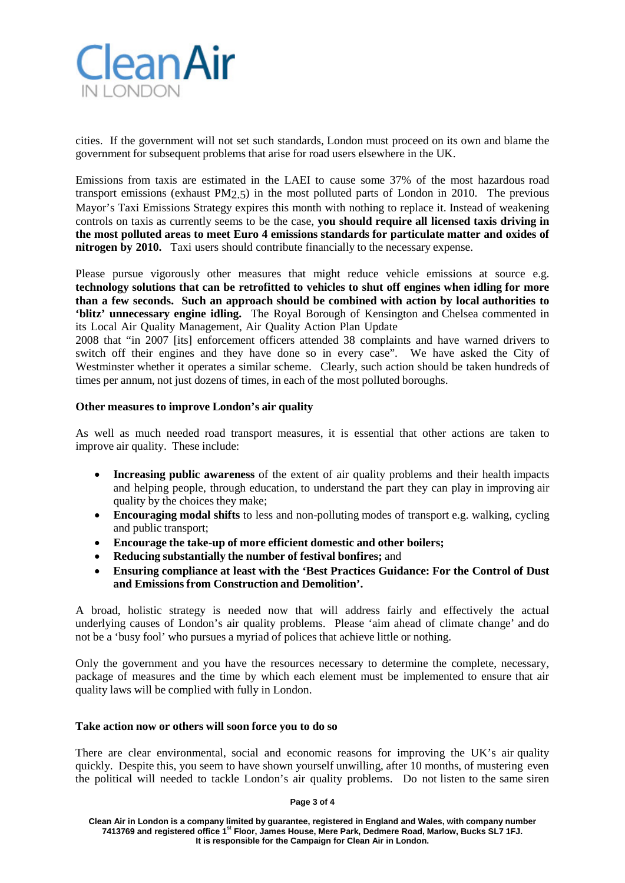

cities. If the government will not set such standards, London must proceed on its own and blame the government for subsequent problems that arise for road users elsewhere in the UK.

Emissions from taxis are estimated in the LAEI to cause some 37% of the most hazardous road transport emissions (exhaust PM2.5) in the most polluted parts of London in 2010. The previous Mayor's Taxi Emissions Strategy expires this month with nothing to replace it. Instead of weakening controls on taxis as currently seems to be the case, **you should require all licensed taxis driving in the most polluted areas to meet Euro 4 emissions standards for particulate matter and oxides of nitrogen by 2010.** Taxi users should contribute financially to the necessary expense.

Please pursue vigorously other measures that might reduce vehicle emissions at source e.g. **technology solutions that can be retrofitted to vehicles to shut off engines when idling for more than a few seconds. Such an approach should be combined with action by local authorities to 'blitz' unnecessary engine idling.** The Royal Borough of Kensington and Chelsea commented in its Local Air Quality Management, Air Quality Action Plan Update

2008 that "in 2007 [its] enforcement officers attended 38 complaints and have warned drivers to switch off their engines and they have done so in every case". We have asked the City of Westminster whether it operates a similar scheme. Clearly, such action should be taken hundreds of times per annum, not just dozens of times, in each of the most polluted boroughs.

## **Other measures to improve London's air quality**

As well as much needed road transport measures, it is essential that other actions are taken to improve air quality. These include:

- **Increasing public awareness** of the extent of air quality problems and their health impacts and helping people, through education, to understand the part they can play in improving air quality by the choices they make;
- **Encouraging modal shifts** to less and non-polluting modes of transport e.g. walking, cycling and public transport;
- **Encourage the take-up of more efficient domestic and other boilers;**
- **Reducing substantially the number of festival bonfires;** and
- **Ensuring compliance at least with the 'Best Practices Guidance: For the Control of Dust and Emissions from Construction and Demolition'.**

A broad, holistic strategy is needed now that will address fairly and effectively the actual underlying causes of London's air quality problems. Please 'aim ahead of climate change' and do not be a 'busy fool' who pursues a myriad of polices that achieve little or nothing.

Only the government and you have the resources necessary to determine the complete, necessary, package of measures and the time by which each element must be implemented to ensure that air quality laws will be complied with fully in London.

## **Take action now or others will soon force you to do so**

There are clear environmental, social and economic reasons for improving the UK's air quality quickly. Despite this, you seem to have shown yourself unwilling, after 10 months, of mustering even the political will needed to tackle London's air quality problems. Do not listen to the same siren

**Page 3 of 4**